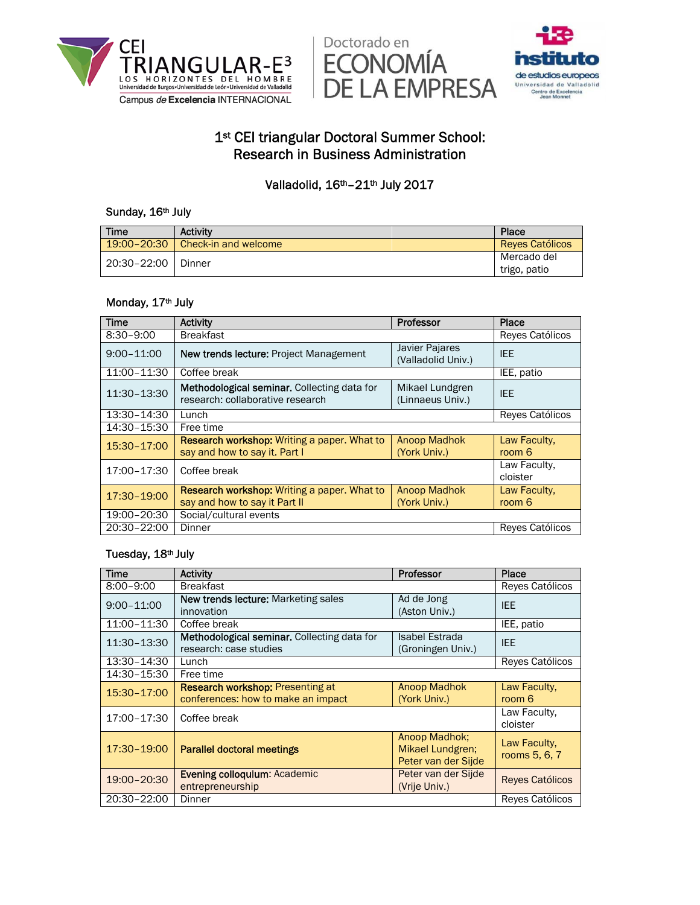





# 1<sup>st</sup> CEI triangular Doctoral Summer School: Research in Business Administration

## Valladolid, 16<sup>th</sup>-21<sup>th</sup> July 2017

## Sunday, 16th July

| Time        | <b>Activity</b>                      | Place                  |
|-------------|--------------------------------------|------------------------|
|             | $19:00 - 20:30$ Check-in and welcome | <b>Reves Católicos</b> |
| 20:30-22:00 | Dinner                               | Mercado del            |
|             |                                      | trigo, patio           |

### Monday, 17th July

| <b>Time</b>    | <b>Activity</b><br><b>Professor</b>                                                                                        |                                     | Place                    |
|----------------|----------------------------------------------------------------------------------------------------------------------------|-------------------------------------|--------------------------|
| $8:30 - 9:00$  | <b>Breakfast</b>                                                                                                           |                                     | Reyes Católicos          |
| $9:00 - 11:00$ | <b>Javier Pajares</b><br>New trends lecture: Project Management<br>(Valladolid Univ.)                                      |                                     | <b>IEE</b>               |
| 11:00-11:30    | Coffee break                                                                                                               |                                     | IEE, patio               |
| 11:30-13:30    | Methodological seminar. Collecting data for<br>Mikael Lundgren<br>research: collaborative research<br>(Linnaeus Univ.)     |                                     | <b>IEE</b>               |
| 13:30-14:30    | Lunch                                                                                                                      |                                     | Reyes Católicos          |
| 14:30-15:30    | Free time                                                                                                                  |                                     |                          |
| 15:30-17:00    | <b>Research workshop:</b> Writing a paper. What to<br><b>Anoop Madhok</b><br>say and how to say it. Part I<br>(York Univ.) |                                     | Law Faculty,<br>room 6   |
| 17:00-17:30    | Coffee break                                                                                                               |                                     | Law Faculty.<br>cloister |
| 17:30-19:00    | <b>Research workshop:</b> Writing a paper. What to<br>say and how to say it Part II                                        | <b>Anoop Madhok</b><br>(York Univ.) | Law Faculty,<br>room 6   |
| 19:00-20:30    | Social/cultural events                                                                                                     |                                     |                          |
| 20:30-22:00    | Dinner                                                                                                                     |                                     | Reyes Católicos          |

## Tuesday, 18th July

| <b>Time</b>    | Professor<br><b>Activity</b>                                                                                         |                                      | Place                         |
|----------------|----------------------------------------------------------------------------------------------------------------------|--------------------------------------|-------------------------------|
| $8:00 - 9:00$  | <b>Breakfast</b>                                                                                                     |                                      | Reyes Católicos               |
| $9:00 - 11:00$ | New trends lecture: Marketing sales<br>Ad de Jong<br>(Aston Univ.)<br>innovation                                     |                                      | <b>IEE</b>                    |
| 11:00-11:30    | Coffee break                                                                                                         |                                      | IEE, patio                    |
| 11:30-13:30    | Methodological seminar. Collecting data for<br>Isabel Estrada<br>research: case studies<br>(Groningen Univ.)         |                                      | <b>IEE</b>                    |
| 13:30-14:30    | Lunch                                                                                                                |                                      | Reves Católicos               |
| 14:30-15:30    | Free time                                                                                                            |                                      |                               |
| 15:30-17:00    | <b>Research workshop: Presenting at</b><br><b>Anoop Madhok</b><br>conferences: how to make an impact<br>(York Univ.) |                                      | Law Faculty,<br>room 6        |
| 17:00-17:30    | Coffee break                                                                                                         |                                      | Law Faculty,<br>cloister      |
| 17:30-19:00    | Anoop Madhok:<br>Parallel doctoral meetings<br>Mikael Lundgren;<br>Peter van der Sijde                               |                                      | Law Faculty,<br>rooms 5, 6, 7 |
| 19:00-20:30    | <b>Evening colloquium: Academic</b><br>entrepreneurship                                                              | Peter van der Sijde<br>(Vrije Univ.) | <b>Reves Católicos</b>        |
| 20:30-22:00    | Dinner                                                                                                               |                                      | Reyes Católicos               |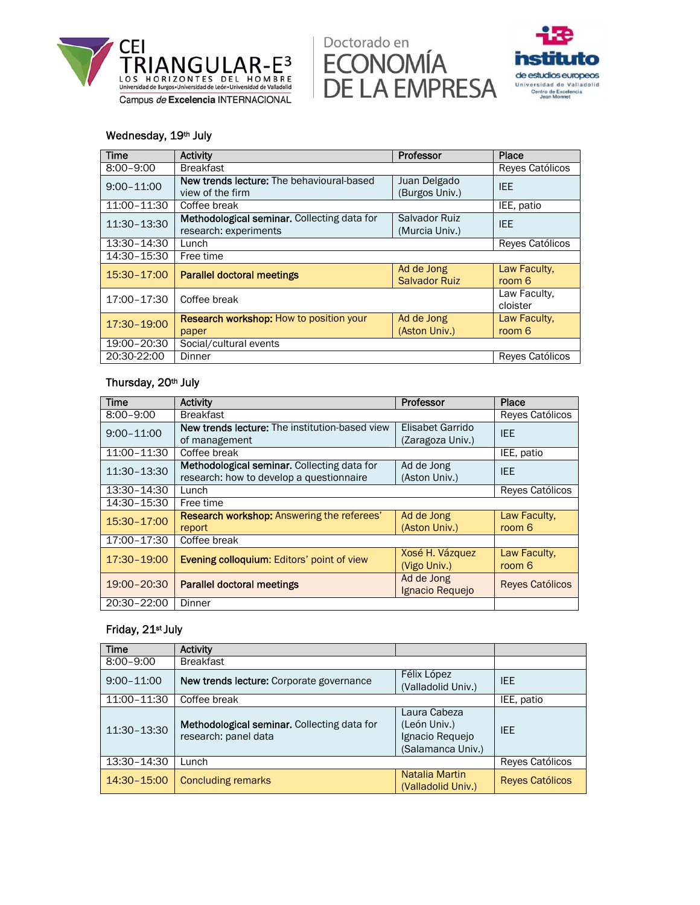





#### Wednesday, 19th July

| <b>Time</b>    | Professor<br><b>Activity</b>                                                                                   |                                    | Place                    |
|----------------|----------------------------------------------------------------------------------------------------------------|------------------------------------|--------------------------|
| $8:00 - 9:00$  | <b>Breakfast</b>                                                                                               |                                    | Reyes Católicos          |
| $9:00 - 11:00$ | New trends lecture: The behavioural-based<br>Juan Delgado<br>(Burgos Univ.)<br>view of the firm                |                                    | <b>IEE</b>               |
| 11:00-11:30    | Coffee break                                                                                                   |                                    | IEE, patio               |
| 11:30-13:30    | Methodological seminar. Collecting data for<br><b>Salvador Ruiz</b><br>research: experiments<br>(Murcia Univ.) |                                    | IEE.                     |
| 13:30-14:30    | Lunch                                                                                                          |                                    | Reves Católicos          |
| 14:30-15:30    | Free time                                                                                                      |                                    |                          |
| 15:30-17:00    | <b>Parallel doctoral meetings</b>                                                                              | Ad de Jong<br><b>Salvador Ruiz</b> | Law Faculty,<br>room 6   |
| 17:00-17:30    | Coffee break                                                                                                   |                                    | Law Faculty.<br>cloister |
| 17:30-19:00    | <b>Research workshop:</b> How to position your<br>Ad de Jong<br>(Aston Univ.)<br>paper                         |                                    | Law Faculty.<br>room 6   |
| 19:00-20:30    | Social/cultural events                                                                                         |                                    |                          |
| 20:30-22:00    | Dinner<br>Reyes Católicos                                                                                      |                                    |                          |

#### Thursday, 20th July

| <b>Time</b>    | Activity                                                                                                               | Professor                       | Place                  |
|----------------|------------------------------------------------------------------------------------------------------------------------|---------------------------------|------------------------|
| $8:00 - 9:00$  | <b>Breakfast</b>                                                                                                       |                                 | Reyes Católicos        |
| $9:00 - 11:00$ | <b>New trends lecture:</b> The institution-based view<br>Elisabet Garrido<br>(Zaragoza Univ.)<br>of management         |                                 | <b>IEE</b>             |
| 11:00-11:30    | Coffee break                                                                                                           |                                 | IEE, patio             |
| 11:30-13:30    | Methodological seminar. Collecting data for<br>Ad de Jong<br>research: how to develop a questionnaire<br>(Aston Univ.) |                                 | IEE                    |
| 13:30-14:30    | Lunch                                                                                                                  |                                 | Reyes Católicos        |
| 14:30-15:30    | Free time                                                                                                              |                                 |                        |
| 15:30-17:00    | <b>Research workshop:</b> Answering the referees'<br>report                                                            | Ad de Jong<br>(Aston Univ.)     | Law Faculty,<br>room 6 |
| 17:00-17:30    | Coffee break                                                                                                           |                                 |                        |
| 17:30-19:00    | <b>Evening colloquium: Editors' point of view</b>                                                                      | Xosé H. Vázquez<br>(Vigo Univ.) | Law Faculty.<br>room 6 |
| 19:00-20:30    | <b>Parallel doctoral meetings</b>                                                                                      | Ad de Jong<br>Ignacio Requejo   | <b>Reves Católicos</b> |
| 20:30-22:00    | Dinner                                                                                                                 |                                 |                        |

### Friday, 21st July

| <b>Time</b>    | <b>Activity</b>                                                               |                                                                      |                        |
|----------------|-------------------------------------------------------------------------------|----------------------------------------------------------------------|------------------------|
| $8:00 - 9:00$  | <b>Breakfast</b>                                                              |                                                                      |                        |
| $9:00 - 11:00$ | Félix López<br>New trends lecture: Corporate governance<br>(Valladolid Univ.) |                                                                      | <b>IFF</b>             |
| 11:00-11:30    | Coffee break                                                                  |                                                                      | IEE, patio             |
| 11:30-13:30    | Methodological seminar. Collecting data for<br>research: panel data           | Laura Cabeza<br>(León Univ.)<br>Ignacio Requejo<br>(Salamanca Univ.) | <b>IFF</b>             |
| 13:30-14:30    | Lunch                                                                         |                                                                      | Reyes Católicos        |
| 14:30-15:00    | <b>Concluding remarks</b>                                                     | Natalia Martin<br>(Valladolid Univ.)                                 | <b>Reyes Católicos</b> |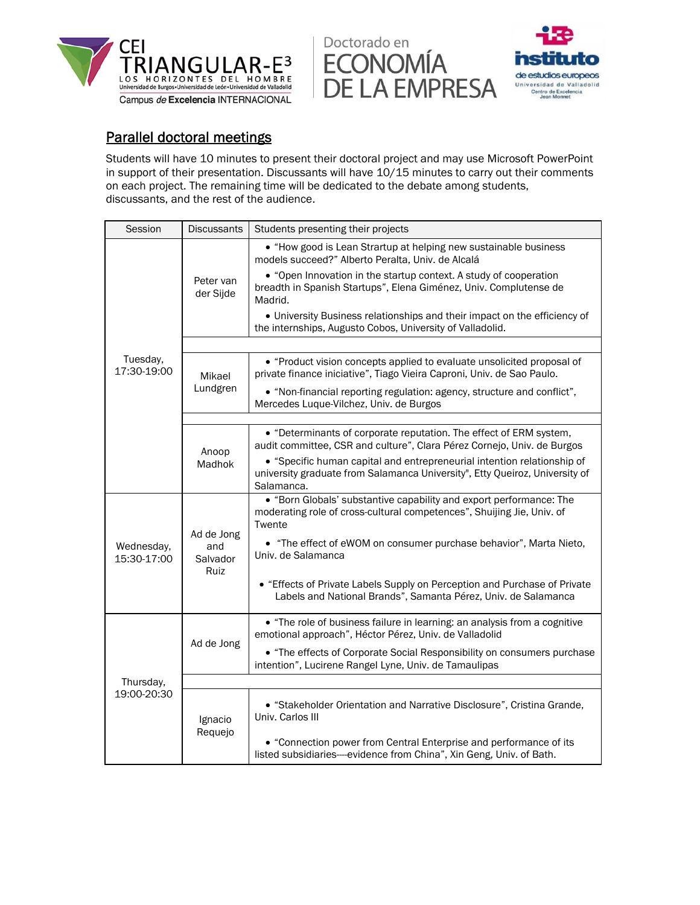

Doctorado en **ECONOMÍA** DE LA EMPRESA Universidad de Valladolld



# Parallel doctoral meetings

Students will have 10 minutes to present their doctoral project and may use Microsoft PowerPoint in support of their presentation. Discussants will have 10/15 minutes to carry out their comments on each project. The remaining time will be dedicated to the debate among students, discussants, and the rest of the audience.

| Session                   | <b>Discussants</b><br>Students presenting their projects |                                                                                                                                                                      |
|---------------------------|----------------------------------------------------------|----------------------------------------------------------------------------------------------------------------------------------------------------------------------|
|                           |                                                          | • "How good is Lean Strartup at helping new sustainable business<br>models succeed?" Alberto Peralta, Univ. de Alcalá                                                |
|                           | Peter van<br>der Sijde                                   | • "Open Innovation in the startup context. A study of cooperation<br>breadth in Spanish Startups", Elena Giménez, Univ. Complutense de<br>Madrid.                    |
|                           |                                                          | • University Business relationships and their impact on the efficiency of<br>the internships, Augusto Cobos, University of Valladolid.                               |
|                           |                                                          |                                                                                                                                                                      |
| Tuesday,<br>17:30-19:00   | Mikael                                                   | • "Product vision concepts applied to evaluate unsolicited proposal of<br>private finance iniciative", Tiago Vieira Caproni, Univ. de Sao Paulo.                     |
|                           | Lundgren                                                 | • "Non-financial reporting regulation: agency, structure and conflict",<br>Mercedes Luque-Vilchez, Univ. de Burgos                                                   |
|                           |                                                          |                                                                                                                                                                      |
|                           | Anoop<br>Madhok                                          | • "Determinants of corporate reputation. The effect of ERM system,<br>audit committee, CSR and culture", Clara Pérez Cornejo, Univ. de Burgos                        |
|                           |                                                          | • "Specific human capital and entrepreneurial intention relationship of<br>university graduate from Salamanca University", Etty Queiroz, University of<br>Salamanca. |
| Wednesday,<br>15:30-17:00 |                                                          | • "Born Globals' substantive capability and export performance: The<br>moderating role of cross-cultural competences", Shuijing Jie, Univ. of<br>Twente              |
|                           | Ad de Jong<br>and<br>Salvador<br>Ruiz                    | • "The effect of eWOM on consumer purchase behavior", Marta Nieto,<br>Univ. de Salamanca                                                                             |
|                           |                                                          | • "Effects of Private Labels Supply on Perception and Purchase of Private<br>Labels and National Brands", Samanta Pérez, Univ. de Salamanca                          |
|                           |                                                          | • "The role of business failure in learning: an analysis from a cognitive<br>emotional approach", Héctor Pérez, Univ. de Valladolid                                  |
| Thursday,<br>19:00-20:30  | Ad de Jong                                               | • "The effects of Corporate Social Responsibility on consumers purchase<br>intention", Lucirene Rangel Lyne, Univ. de Tamaulipas                                     |
|                           |                                                          |                                                                                                                                                                      |
|                           | Ignacio<br>Requejo                                       | • "Stakeholder Orientation and Narrative Disclosure", Cristina Grande,<br>Univ. Carlos III                                                                           |
|                           |                                                          | • "Connection power from Central Enterprise and performance of its<br>listed subsidiaries---evidence from China", Xin Geng, Univ. of Bath.                           |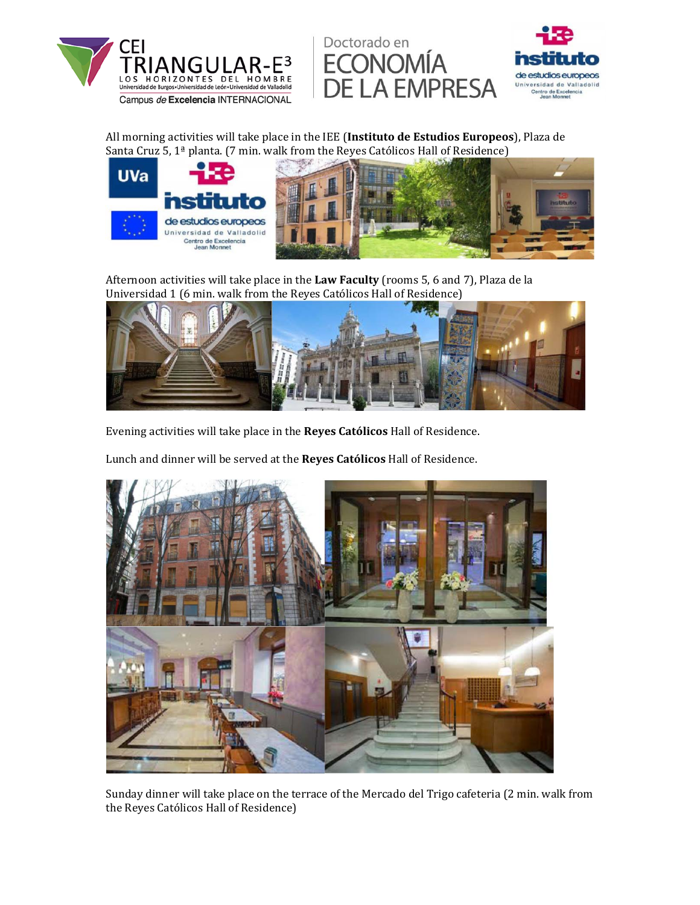





All morning activities will take place in the IEE (Instituto de Estudios Europeos), Plaza de Santa Cruz 5,  $1^{\frac{a}{2}}$  planta. (7 min. walk from the Reyes Católicos Hall of Residence)



Afternoon activities will take place in the **Law Faculty** (rooms 5, 6 and 7), Plaza de la Universidad 1 (6 min. walk from the Reyes Católicos Hall of Residence)



Evening activities will take place in the **Reyes Católicos** Hall of Residence.

Lunch and dinner will be served at the **Reyes Católicos** Hall of Residence.



Sunday dinner will take place on the terrace of the Mercado del Trigo cafeteria (2 min. walk from the Reyes Católicos Hall of Residence)